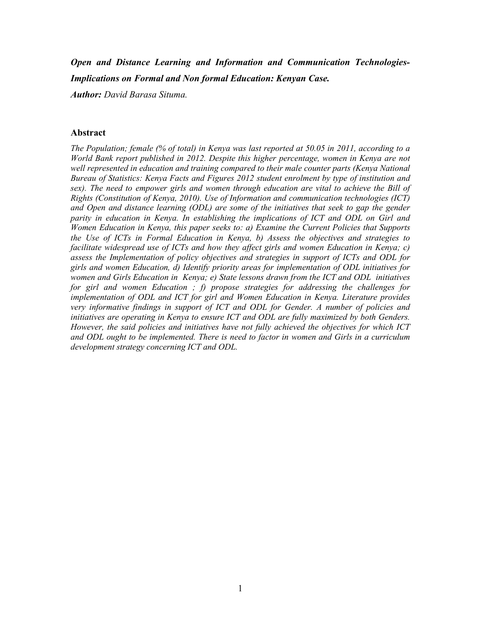# *Open and Distance Learning and Information and Communication Technologies-Implications on Formal and Non formal Education: Kenyan Case.*

*Author: David Barasa Situma.*

#### **Abstract**

*The Population; female (% of total) in Kenya was last reported at 50.05 in 2011, according to a World Bank report published in 2012. Despite this higher percentage, women in Kenya are not*  well represented in education and training compared to their male counter parts (Kenya National *Bureau of Statistics: Kenya Facts and Figures 2012 student enrolment by type of institution and sex). The need to empower girls and women through education are vital to achieve the Bill of Rights (Constitution of Kenya, 2010). Use of Information and communication technologies (ICT) and Open and distance learning (ODL) are some of the initiatives that seek to gap the gender parity in education in Kenya. In establishing the implications of ICT and ODL on Girl and Women Education in Kenya, this paper seeks to: a) Examine the Current Policies that Supports the Use of ICTs in Formal Education in Kenya, b) Assess the objectives and strategies to facilitate widespread use of ICTs and how they affect girls and women Education in Kenya; c) assess the Implementation of policy objectives and strategies in support of ICTs and ODL for girls and women Education, d) Identify priority areas for implementation of ODL initiatives for women and Girls Education in Kenya; e) State lessons drawn from the ICT and ODL initiatives for girl and women Education ; f) propose strategies for addressing the challenges for implementation of ODL and ICT for girl and Women Education in Kenya. Literature provides very informative findings in support of ICT and ODL for Gender. A number of policies and initiatives are operating in Kenya to ensure ICT and ODL are fully maximized by both Genders. However, the said policies and initiatives have not fully achieved the objectives for which ICT and ODL ought to be implemented. There is need to factor in women and Girls in a curriculum development strategy concerning ICT and ODL.*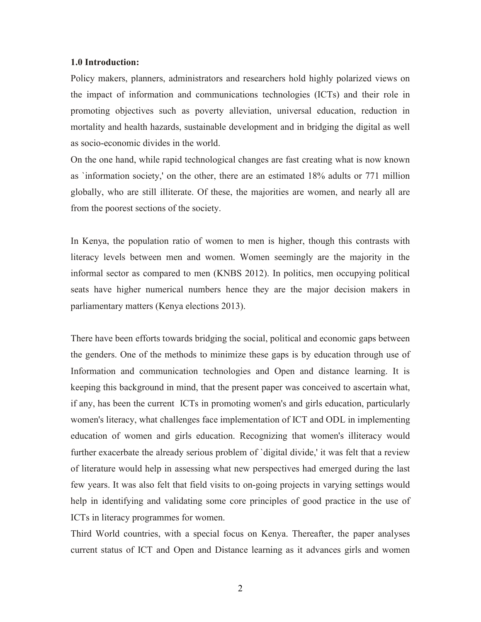#### **1.0 Introduction:**

Policy makers, planners, administrators and researchers hold highly polarized views on the impact of information and communications technologies (ICTs) and their role in promoting objectives such as poverty alleviation, universal education, reduction in mortality and health hazards, sustainable development and in bridging the digital as well as socio-economic divides in the world.

On the one hand, while rapid technological changes are fast creating what is now known as `information society,' on the other, there are an estimated 18% adults or 771 million globally, who are still illiterate. Of these, the majorities are women, and nearly all are from the poorest sections of the society.

In Kenya, the population ratio of women to men is higher, though this contrasts with literacy levels between men and women. Women seemingly are the majority in the informal sector as compared to men (KNBS 2012). In politics, men occupying political seats have higher numerical numbers hence they are the major decision makers in parliamentary matters (Kenya elections 2013).

There have been efforts towards bridging the social, political and economic gaps between the genders. One of the methods to minimize these gaps is by education through use of Information and communication technologies and Open and distance learning. It is keeping this background in mind, that the present paper was conceived to ascertain what, if any, has been the current ICTs in promoting women's and girls education, particularly women's literacy, what challenges face implementation of ICT and ODL in implementing education of women and girls education. Recognizing that women's illiteracy would further exacerbate the already serious problem of 'digital divide,' it was felt that a review of literature would help in assessing what new perspectives had emerged during the last few years. It was also felt that field visits to on-going projects in varying settings would help in identifying and validating some core principles of good practice in the use of ICTs in literacy programmes for women.

Third World countries, with a special focus on Kenya. Thereafter, the paper analyses current status of ICT and Open and Distance learning as it advances girls and women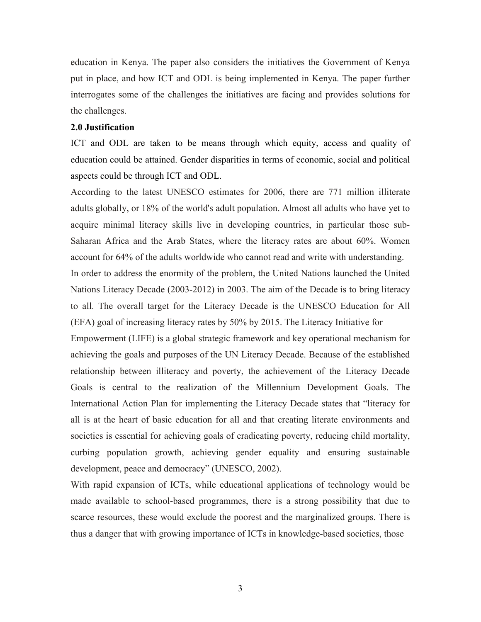education in Kenya. The paper also considers the initiatives the Government of Kenya put in place, and how ICT and ODL is being implemented in Kenya. The paper further interrogates some of the challenges the initiatives are facing and provides solutions for the challenges.

#### **2.0 Justification**

ICT and ODL are taken to be means through which equity, access and quality of education could be attained. Gender disparities in terms of economic, social and political aspects could be through ICT and ODL.

According to the latest UNESCO estimates for 2006, there are 771 million illiterate adults globally, or 18% of the world's adult population. Almost all adults who have yet to acquire minimal literacy skills live in developing countries, in particular those sub-Saharan Africa and the Arab States, where the literacy rates are about 60%. Women account for 64% of the adults worldwide who cannot read and write with understanding. In order to address the enormity of the problem, the United Nations launched the United Nations Literacy Decade (2003-2012) in 2003. The aim of the Decade is to bring literacy to all. The overall target for the Literacy Decade is the UNESCO Education for All (EFA) goal of increasing literacy rates by 50% by 2015. The Literacy Initiative for Empowerment (LIFE) is a global strategic framework and key operational mechanism for achieving the goals and purposes of the UN Literacy Decade. Because of the established relationship between illiteracy and poverty, the achievement of the Literacy Decade Goals is central to the realization of the Millennium Development Goals. The International Action Plan for implementing the Literacy Decade states that "literacy for all is at the heart of basic education for all and that creating literate environments and societies is essential for achieving goals of eradicating poverty, reducing child mortality, curbing population growth, achieving gender equality and ensuring sustainable development, peace and democracy" (UNESCO, 2002).

With rapid expansion of ICTs, while educational applications of technology would be made available to school-based programmes, there is a strong possibility that due to scarce resources, these would exclude the poorest and the marginalized groups. There is thus a danger that with growing importance of ICTs in knowledge-based societies, those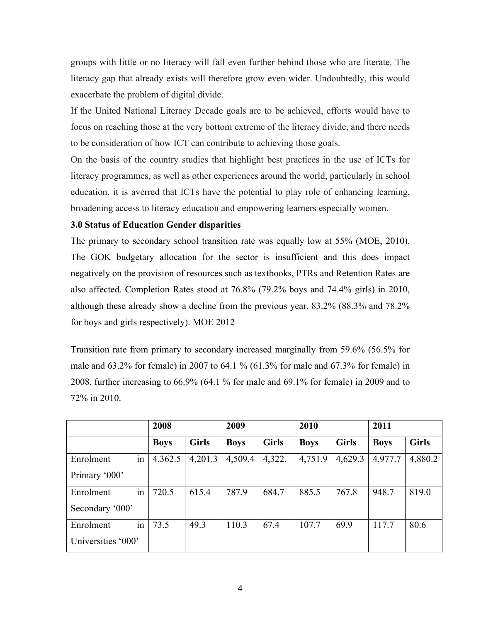groups with little or no literacy will fall even further behind those who are literate. The literacy gap that already exists will therefore grow even wider. Undoubtedly, this would exacerbate the problem of digital divide.

If the United National Literacy Decade goals are to be achieved, efforts would have to focus on reaching those at the very bottom extreme of the literacy divide, and there needs to be consideration of how ICT can contribute to achieving those goals.

On the basis of the country studies that highlight best practices in the use of ICTs for literacy programmes, as well as other experiences around the world, particularly in school education, it is averred that ICTs have the potential to play role of enhancing learning, broadening access to literacy education and empowering learners especially women.

## **3.0 Status of Education Gender disparities**

The primary to secondary school transition rate was equally low at 55% (MOE, 2010). The GOK budgetary allocation for the sector is insufficient and this does impact negatively on the provision of resources such as textbooks, PTRs and Retention Rates are also affected. Completion Rates stood at 76.8% (79.2% boys and 74.4% girls) in 2010, although these already show a decline from the previous year, 83.2% (88.3% and 78.2% for boys and girls respectively). MOE 2012

Transition rate from primary to secondary increased marginally from 59.6% (56.5% for male and 63.2% for female) in 2007 to 64.1 % (61.3% for male and 67.3% for female) in 2008, further increasing to 66.9% (64.1 % for male and 69.1% for female) in 2009 and to 72% in 2010.

|                    | 2008        |              | 2009        |              | 2010        |              | 2011        |              |
|--------------------|-------------|--------------|-------------|--------------|-------------|--------------|-------------|--------------|
|                    | <b>Boys</b> | <b>Girls</b> | <b>Boys</b> | <b>Girls</b> | <b>Boys</b> | <b>Girls</b> | <b>Boys</b> | <b>Girls</b> |
| in<br>Enrolment    | 4,362.5     | 4,201.3      | 4,509.4     | 4,322.       | 4,751.9     | 4,629.3      | 4,977.7     | 4,880.2      |
| Primary '000'      |             |              |             |              |             |              |             |              |
| in<br>Enrolment    | 720.5       | 615.4        | 787.9       | 684.7        | 885.5       | 767.8        | 948.7       | 819.0        |
| Secondary '000'    |             |              |             |              |             |              |             |              |
| in<br>Enrolment    | 73.5        | 49.3         | 110.3       | 67.4         | 107.7       | 69.9         | 117.7       | 80.6         |
| Universities '000' |             |              |             |              |             |              |             |              |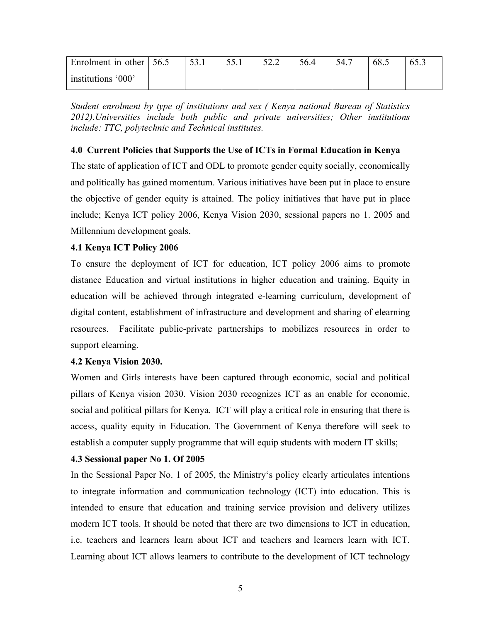| Enrolment in other $\vert$ 56.5 | 53.1 | JJ.I | 52.2 | 56.4 | 54.7 | 68.1 |  |
|---------------------------------|------|------|------|------|------|------|--|
| institutions '000'              |      |      |      |      |      |      |  |

*Student enrolment by type of institutions and sex ( Kenya national Bureau of Statistics 2012).Universities include both public and private universities; Other institutions include: TTC, polytechnic and Technical institutes.*

## **4.0 Current Policies that Supports the Use of ICTs in Formal Education in Kenya**

The state of application of ICT and ODL to promote gender equity socially, economically and politically has gained momentum. Various initiatives have been put in place to ensure the objective of gender equity is attained. The policy initiatives that have put in place include; Kenya ICT policy 2006, Kenya Vision 2030, sessional papers no 1. 2005 and Millennium development goals.

# **4.1 Kenya ICT Policy 2006**

To ensure the deployment of ICT for education, ICT policy 2006 aims to promote distance Education and virtual institutions in higher education and training. Equity in education will be achieved through integrated e-learning curriculum, development of digital content, establishment of infrastructure and development and sharing of elearning resources. Facilitate public-private partnerships to mobilizes resources in order to support elearning.

## **4.2 Kenya Vision 2030.**

Women and Girls interests have been captured through economic, social and political pillars of Kenya vision 2030. Vision 2030 recognizes ICT as an enable for economic, social and political pillars for Kenya. ICT will play a critical role in ensuring that there is access, quality equity in Education. The Government of Kenya therefore will seek to establish a computer supply programme that will equip students with modern IT skills;

## **4.3 Sessional paper No 1. Of 2005**

In the Sessional Paper No. 1 of 2005, the Ministry's policy clearly articulates intentions to integrate information and communication technology (ICT) into education. This is intended to ensure that education and training service provision and delivery utilizes modern ICT tools. It should be noted that there are two dimensions to ICT in education, i.e. teachers and learners learn about ICT and teachers and learners learn with ICT. Learning about ICT allows learners to contribute to the development of ICT technology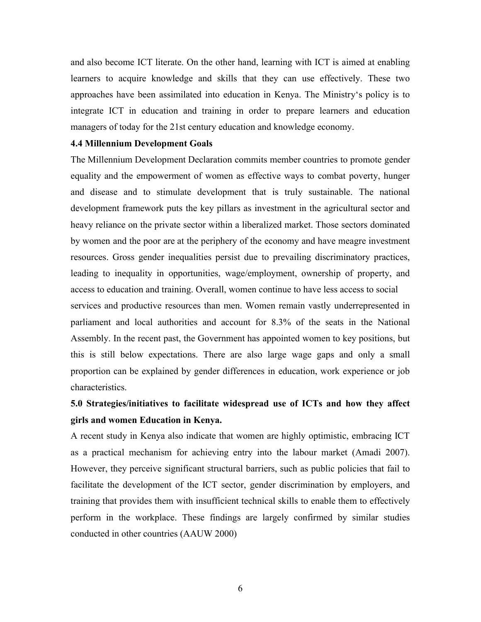and also become ICT literate. On the other hand, learning with ICT is aimed at enabling learners to acquire knowledge and skills that they can use effectively. These two approaches have been assimilated into education in Kenya. The Ministry's policy is to integrate ICT in education and training in order to prepare learners and education managers of today for the 21st century education and knowledge economy.

#### **4.4 Millennium Development Goals**

The Millennium Development Declaration commits member countries to promote gender equality and the empowerment of women as effective ways to combat poverty, hunger and disease and to stimulate development that is truly sustainable. The national development framework puts the key pillars as investment in the agricultural sector and heavy reliance on the private sector within a liberalized market. Those sectors dominated by women and the poor are at the periphery of the economy and have meagre investment resources. Gross gender inequalities persist due to prevailing discriminatory practices, leading to inequality in opportunities, wage/employment, ownership of property, and access to education and training. Overall, women continue to have less access to social services and productive resources than men. Women remain vastly underrepresented in parliament and local authorities and account for 8.3% of the seats in the National Assembly. In the recent past, the Government has appointed women to key positions, but this is still below expectations. There are also large wage gaps and only a small proportion can be explained by gender differences in education, work experience or job characteristics.

# **5.0 Strategies/initiatives to facilitate widespread use of ICTs and how they affect girls and women Education in Kenya.**

A recent study in Kenya also indicate that women are highly optimistic, embracing ICT as a practical mechanism for achieving entry into the labour market (Amadi 2007). However, they perceive significant structural barriers, such as public policies that fail to facilitate the development of the ICT sector, gender discrimination by employers, and training that provides them with insufficient technical skills to enable them to effectively perform in the workplace. These findings are largely confirmed by similar studies conducted in other countries (AAUW 2000)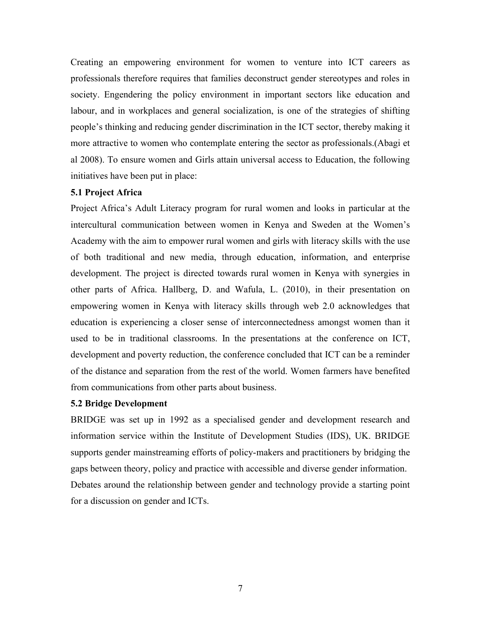Creating an empowering environment for women to venture into ICT careers as professionals therefore requires that families deconstruct gender stereotypes and roles in society. Engendering the policy environment in important sectors like education and labour, and in workplaces and general socialization, is one of the strategies of shifting people's thinking and reducing gender discrimination in the ICT sector, thereby making it more attractive to women who contemplate entering the sector as professionals.(Abagi et al 2008). To ensure women and Girls attain universal access to Education, the following initiatives have been put in place:

#### **5.1 Project Africa**

Project Africa's Adult Literacy program for rural women and looks in particular at the intercultural communication between women in Kenya and Sweden at the Women's Academy with the aim to empower rural women and girls with literacy skills with the use of both traditional and new media, through education, information, and enterprise development. The project is directed towards rural women in Kenya with synergies in other parts of Africa. Hallberg, D. and Wafula, L. (2010), in their presentation on empowering women in Kenya with literacy skills through web 2.0 acknowledges that education is experiencing a closer sense of interconnectedness amongst women than it used to be in traditional classrooms. In the presentations at the conference on ICT, development and poverty reduction, the conference concluded that ICT can be a reminder of the distance and separation from the rest of the world. Women farmers have benefited from communications from other parts about business.

#### **5.2 Bridge Development**

BRIDGE was set up in 1992 as a specialised gender and development research and information service within the Institute of Development Studies (IDS), UK. BRIDGE supports gender mainstreaming efforts of policy-makers and practitioners by bridging the gaps between theory, policy and practice with accessible and diverse gender information. Debates around the relationship between gender and technology provide a starting point for a discussion on gender and ICTs.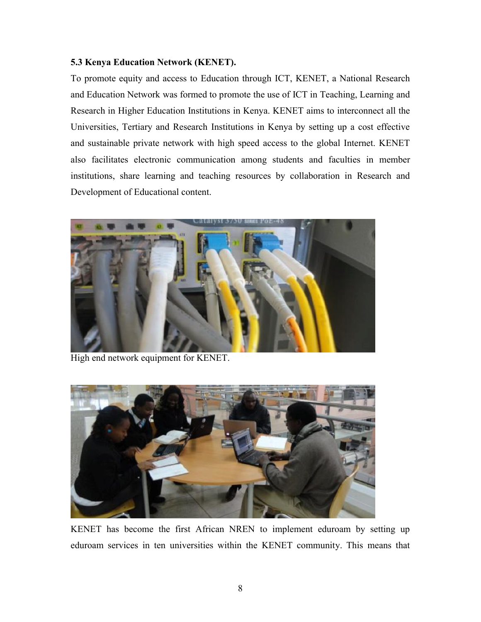# **5.3 Kenya Education Network (KENET).**

To promote equity and access to Education through ICT, KENET, a National Research and Education Network was formed to promote the use of ICT in Teaching, Learning and Research in Higher Education Institutions in Kenya. KENET aims to interconnect all the Universities, Tertiary and Research Institutions in Kenya by setting up a cost effective and sustainable private network with high speed access to the global Internet. KENET also facilitates electronic communication among students and faculties in member institutions, share learning and teaching resources by collaboration in Research and Development of Educational content.



High end network equipment for KENET.



KENET has become the first African NREN to implement eduroam by setting up eduroam services in ten universities within the KENET community. This means that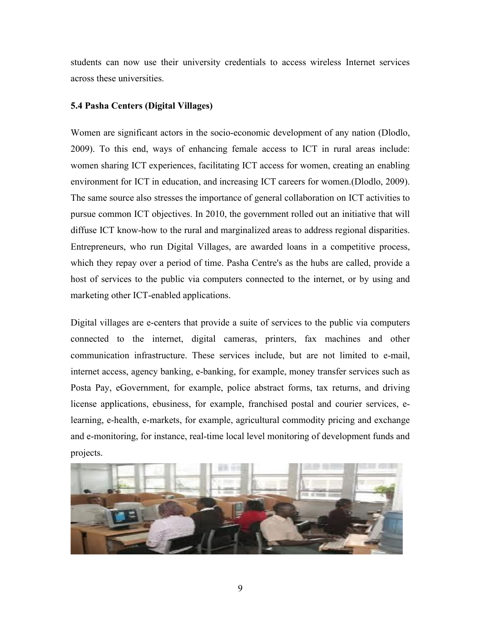students can now use their university credentials to access wireless Internet services across these universities.

## **5.4 Pasha Centers (Digital Villages)**

Women are significant actors in the socio-economic development of any nation (Dlodlo, 2009). To this end, ways of enhancing female access to ICT in rural areas include: women sharing ICT experiences, facilitating ICT access for women, creating an enabling environment for ICT in education, and increasing ICT careers for women.(Dlodlo, 2009). The same source also stresses the importance of general collaboration on ICT activities to pursue common ICT objectives. In 2010, the government rolled out an initiative that will diffuse ICT know-how to the rural and marginalized areas to address regional disparities. Entrepreneurs, who run Digital Villages, are awarded loans in a competitive process, which they repay over a period of time. Pasha Centre's as the hubs are called, provide a host of services to the public via computers connected to the internet, or by using and marketing other ICT-enabled applications.

Digital villages are e-centers that provide a suite of services to the public via computers connected to the internet, digital cameras, printers, fax machines and other communication infrastructure. These services include, but are not limited to e-mail, internet access, agency banking, e-banking, for example, money transfer services such as Posta Pay, eGovernment, for example, police abstract forms, tax returns, and driving license applications, ebusiness, for example, franchised postal and courier services, elearning, e-health, e-markets, for example, agricultural commodity pricing and exchange and e-monitoring, for instance, real-time local level monitoring of development funds and projects.

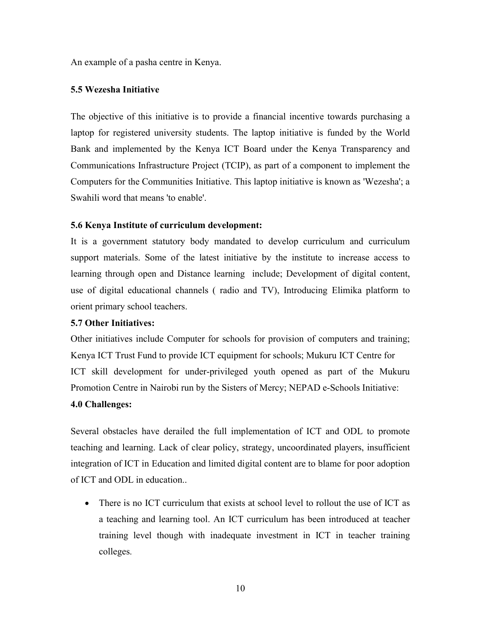An example of a pasha centre in Kenya.

# **5.5 Wezesha Initiative**

The objective of this initiative is to provide a financial incentive towards purchasing a laptop for registered university students. The laptop initiative is funded by the World Bank and implemented by the Kenya ICT Board under the Kenya Transparency and Communications Infrastructure Project (TCIP), as part of a component to implement the Computers for the Communities Initiative. This laptop initiative is known as 'Wezesha'; a Swahili word that means 'to enable'.

# **5.6 Kenya Institute of curriculum development:**

It is a government statutory body mandated to develop curriculum and curriculum support materials. Some of the latest initiative by the institute to increase access to learning through open and Distance learning include; Development of digital content, use of digital educational channels ( radio and TV), Introducing Elimika platform to orient primary school teachers.

# **5.7 Other Initiatives:**

Other initiatives include Computer for schools for provision of computers and training; Kenya ICT Trust Fund to provide ICT equipment for schools; Mukuru ICT Centre for ICT skill development for under-privileged youth opened as part of the Mukuru Promotion Centre in Nairobi run by the Sisters of Mercy; NEPAD e-Schools Initiative: **4.0 Challenges:**

Several obstacles have derailed the full implementation of ICT and ODL to promote teaching and learning. Lack of clear policy, strategy, uncoordinated players, insufficient integration of ICT in Education and limited digital content are to blame for poor adoption of ICT and ODL in education..

• There is no ICT curriculum that exists at school level to rollout the use of ICT as a teaching and learning tool. An ICT curriculum has been introduced at teacher training level though with inadequate investment in ICT in teacher training colleges.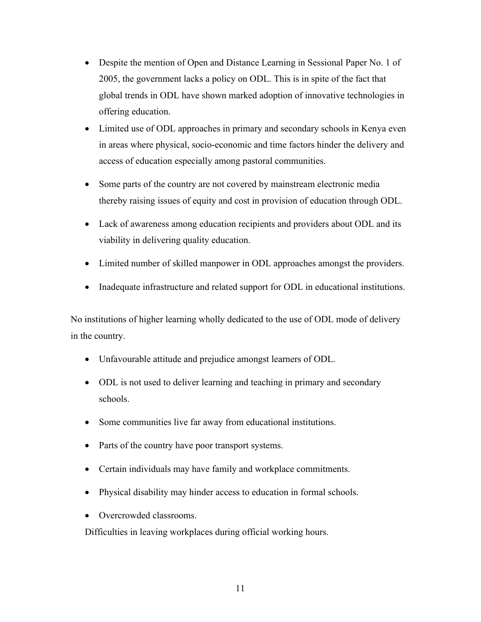- Despite the mention of Open and Distance Learning in Sessional Paper No. 1 of 2005, the government lacks a policy on ODL. This is in spite of the fact that global trends in ODL have shown marked adoption of innovative technologies in offering education.
- Limited use of ODL approaches in primary and secondary schools in Kenya even in areas where physical, socio-economic and time factors hinder the delivery and access of education especially among pastoral communities.
- Some parts of the country are not covered by mainstream electronic media thereby raising issues of equity and cost in provision of education through ODL.
- Lack of awareness among education recipients and providers about ODL and its viability in delivering quality education.
- Limited number of skilled manpower in ODL approaches amongst the providers.
- Inadequate infrastructure and related support for ODL in educational institutions.

No institutions of higher learning wholly dedicated to the use of ODL mode of delivery in the country.

- Unfavourable attitude and prejudice amongst learners of ODL.
- ODL is not used to deliver learning and teaching in primary and secondary schools.
- Some communities live far away from educational institutions.
- Parts of the country have poor transport systems.
- Certain individuals may have family and workplace commitments.
- Physical disability may hinder access to education in formal schools.
- Overcrowded classrooms.

Difficulties in leaving workplaces during official working hours.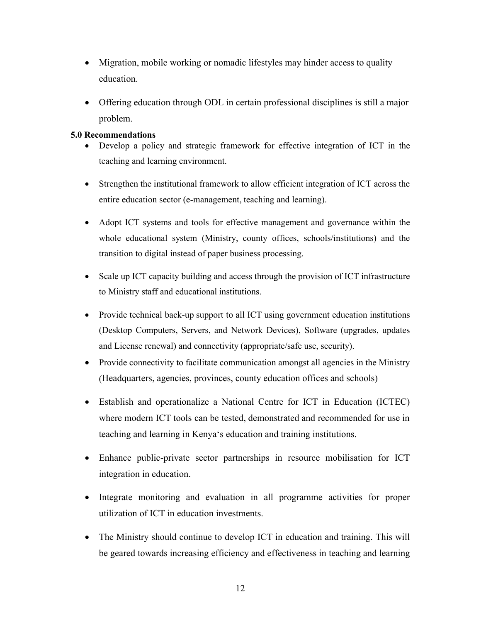- Migration, mobile working or nomadic lifestyles may hinder access to quality education.
- Offering education through ODL in certain professional disciplines is still a major problem.

# **5.0 Recommendations**

- Develop a policy and strategic framework for effective integration of ICT in the teaching and learning environment.
- Strengthen the institutional framework to allow efficient integration of ICT across the entire education sector (e-management, teaching and learning).
- Adopt ICT systems and tools for effective management and governance within the whole educational system (Ministry, county offices, schools/institutions) and the transition to digital instead of paper business processing.
- Scale up ICT capacity building and access through the provision of ICT infrastructure to Ministry staff and educational institutions.
- Provide technical back-up support to all ICT using government education institutions (Desktop Computers, Servers, and Network Devices), Software (upgrades, updates and License renewal) and connectivity (appropriate/safe use, security).
- Provide connectivity to facilitate communication amongst all agencies in the Ministry (Headquarters, agencies, provinces, county education offices and schools)
- Establish and operationalize a National Centre for ICT in Education (ICTEC) where modern ICT tools can be tested, demonstrated and recommended for use in teaching and learning in Kenya's education and training institutions.
- Enhance public-private sector partnerships in resource mobilisation for ICT integration in education.
- Integrate monitoring and evaluation in all programme activities for proper utilization of ICT in education investments.
- The Ministry should continue to develop ICT in education and training. This will be geared towards increasing efficiency and effectiveness in teaching and learning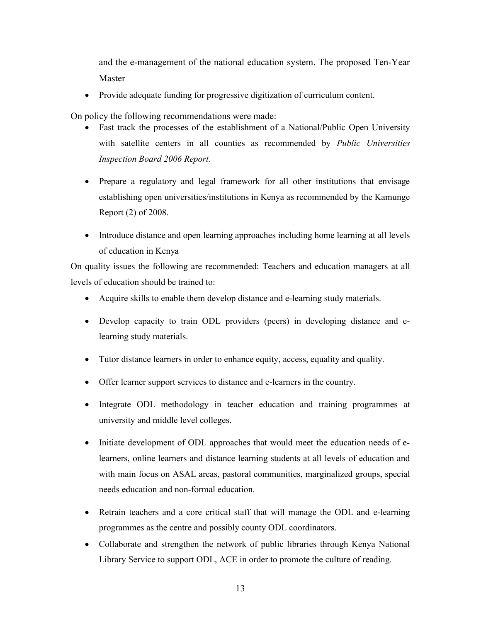and the e-management of the national education system. The proposed Ten-Year Master

• Provide adequate funding for progressive digitization of curriculum content.

On policy the following recommendations were made:

- Fast track the processes of the establishment of a National/Public Open University with satellite centers in all counties as recommended by *Public Universities Inspection Board 2006 Report.*
- Prepare a regulatory and legal framework for all other institutions that envisage establishing open universities/institutions in Kenya as recommended by the Kamunge Report (2) of 2008.
- Introduce distance and open learning approaches including home learning at all levels of education in Kenya

On quality issues the following are recommended: Teachers and education managers at all levels of education should be trained to:

- Acquire skills to enable them develop distance and e-learning study materials.
- Develop capacity to train ODL providers (peers) in developing distance and elearning study materials.
- Tutor distance learners in order to enhance equity, access, equality and quality.
- Offer learner support services to distance and e-learners in the country.
- Integrate ODL methodology in teacher education and training programmes at university and middle level colleges.
- Initiate development of ODL approaches that would meet the education needs of elearners, online learners and distance learning students at all levels of education and with main focus on ASAL areas, pastoral communities, marginalized groups, special needs education and non-formal education.
- Retrain teachers and a core critical staff that will manage the ODL and e-learning programmes as the centre and possibly county ODL coordinators.
- Collaborate and strengthen the network of public libraries through Kenya National Library Service to support ODL, ACE in order to promote the culture of reading.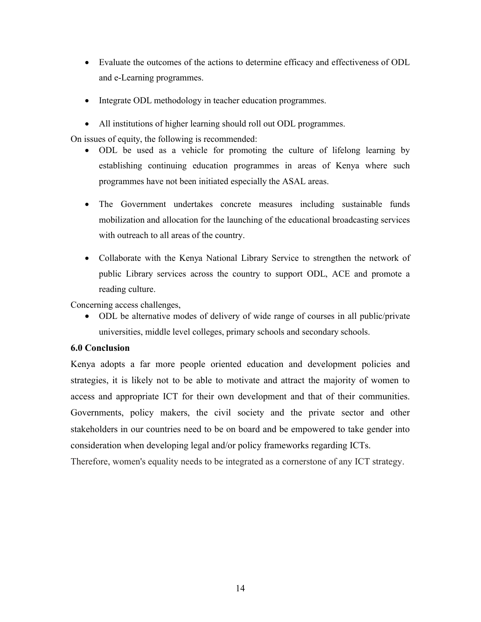- Evaluate the outcomes of the actions to determine efficacy and effectiveness of ODL and e-Learning programmes.
- Integrate ODL methodology in teacher education programmes.
- All institutions of higher learning should roll out ODL programmes.

On issues of equity, the following is recommended:

- ODL be used as a vehicle for promoting the culture of lifelong learning by establishing continuing education programmes in areas of Kenya where such programmes have not been initiated especially the ASAL areas.
- The Government undertakes concrete measures including sustainable funds mobilization and allocation for the launching of the educational broadcasting services with outreach to all areas of the country.
- Collaborate with the Kenya National Library Service to strengthen the network of public Library services across the country to support ODL, ACE and promote a reading culture.

Concerning access challenges,

• ODL be alternative modes of delivery of wide range of courses in all public/private universities, middle level colleges, primary schools and secondary schools.

## **6.0 Conclusion**

Kenya adopts a far more people oriented education and development policies and strategies, it is likely not to be able to motivate and attract the majority of women to access and appropriate ICT for their own development and that of their communities. Governments, policy makers, the civil society and the private sector and other stakeholders in our countries need to be on board and be empowered to take gender into consideration when developing legal and/or policy frameworks regarding ICTs.

Therefore, women's equality needs to be integrated as a cornerstone of any ICT strategy.